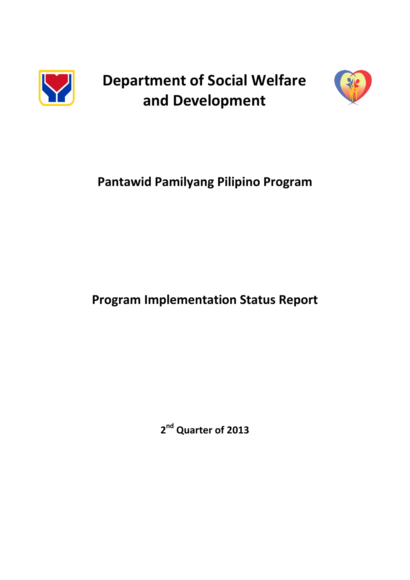

**Department of Social Welfare and Development**



# **Pantawid Pamilyang Pilipino Program**

## **Program Implementation Status Report**

**2 nd Quarter of 2013**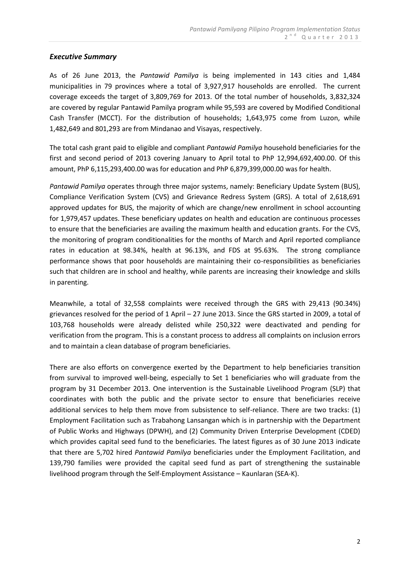## *Executive Summary*

As of 26 June 2013, the *Pantawid Pamilya* is being implemented in 143 cities and 1,484 municipalities in 79 provinces where a total of 3,927,917 households are enrolled. The current coverage exceeds the target of 3,809,769 for 2013. Of the total number of households, 3,832,324 are covered by regular Pantawid Pamilya program while 95,593 are covered by Modified Conditional Cash Transfer (MCCT). For the distribution of households; 1,643,975 come from Luzon, while 1,482,649 and 801,293 are from Mindanao and Visayas, respectively.

The total cash grant paid to eligible and compliant *Pantawid Pamilya* household beneficiaries for the first and second period of 2013 covering January to April total to PhP 12,994,692,400.00. Of this amount, PhP 6,115,293,400.00 was for education and PhP 6,879,399,000.00 was for health.

*Pantawid Pamilya* operates through three major systems, namely: Beneficiary Update System (BUS), Compliance Verification System (CVS) and Grievance Redress System (GRS). A total of 2,618,691 approved updates for BUS, the majority of which are change/new enrollment in school accounting for 1,979,457 updates. These beneficiary updates on health and education are continuous processes to ensure that the beneficiaries are availing the maximum health and education grants. For the CVS, the monitoring of program conditionalities for the months of March and April reported compliance rates in education at 98.34%, health at 96.13%, and FDS at 95.63%. The strong compliance performance shows that poor households are maintaining their co-responsibilities as beneficiaries such that children are in school and healthy, while parents are increasing their knowledge and skills in parenting.

Meanwhile, a total of 32,558 complaints were received through the GRS with 29,413 (90.34%) grievances resolved for the period of 1 April – 27 June 2013. Since the GRS started in 2009, a total of 103,768 households were already delisted while 250,322 were deactivated and pending for verification from the program. This is a constant process to address all complaints on inclusion errors and to maintain a clean database of program beneficiaries.

There are also efforts on convergence exerted by the Department to help beneficiaries transition from survival to improved well-being, especially to Set 1 beneficiaries who will graduate from the program by 31 December 2013. One intervention is the Sustainable Livelihood Program (SLP) that coordinates with both the public and the private sector to ensure that beneficiaries receive additional services to help them move from subsistence to self-reliance. There are two tracks: (1) Employment Facilitation such as Trabahong Lansangan which is in partnership with the Department of Public Works and Highways (DPWH), and (2) Community Driven Enterprise Development (CDED) which provides capital seed fund to the beneficiaries. The latest figures as of 30 June 2013 indicate that there are 5,702 hired *Pantawid Pamilya* beneficiaries under the Employment Facilitation, and 139,790 families were provided the capital seed fund as part of strengthening the sustainable livelihood program through the Self-Employment Assistance – Kaunlaran (SEA-K).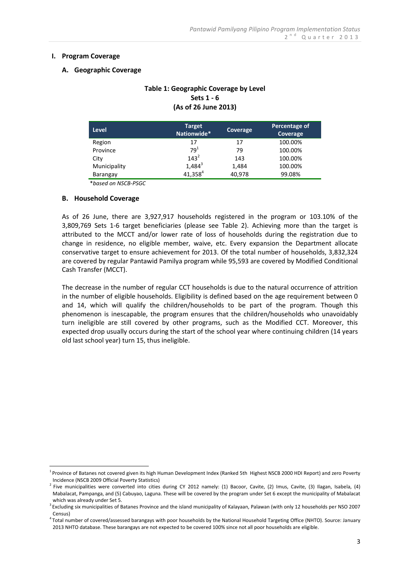#### **I. Program Coverage**

#### **A. Geographic Coverage**

## **Table 1: Geographic Coverage by Level Sets 1 - 6 (As of 26 June 2013)**

| <b>Level</b> | <b>Target</b><br>Nationwide* | Coverage | Percentage of<br>Coverage |
|--------------|------------------------------|----------|---------------------------|
| Region       | 17                           | 17       | 100.00%                   |
| Province     | 79 <sup>1</sup>              | 79       | 100.00%                   |
| City         | $143^{2}$                    | 143      | 100.00%                   |
| Municipality | $1,484^3$                    | 1,484    | 100.00%                   |
| Barangay     | $41,358^{4}$                 | 40,978   | 99.08%                    |

\**based on NSCB-PSGC*

#### **B. Household Coverage**

<u>.</u>

As of 26 June, there are 3,927,917 households registered in the program or 103.10% of the 3,809,769 Sets 1-6 target beneficiaries (please see Table 2). Achieving more than the target is attributed to the MCCT and/or lower rate of loss of households during the registration due to change in residence, no eligible member, waive, etc. Every expansion the Department allocate conservative target to ensure achievement for 2013. Of the total number of households, 3,832,324 are covered by regular Pantawid Pamilya program while 95,593 are covered by Modified Conditional Cash Transfer (MCCT).

The decrease in the number of regular CCT households is due to the natural occurrence of attrition in the number of eligible households. Eligibility is defined based on the age requirement between 0 and 14, which will qualify the children/households to be part of the program. Though this phenomenon is inescapable, the program ensures that the children/households who unavoidably turn ineligible are still covered by other programs, such as the Modified CCT. Moreover, this expected drop usually occurs during the start of the school year where continuing children (14 years old last school year) turn 15, thus ineligible.

<sup>&</sup>lt;sup>1</sup> Province of Batanes not covered given its high Human Development Index (Ranked 5th Highest NSCB 2000 HDI Report) and zero Poverty Incidence (NSCB 2009 Official Poverty Statistics)

<sup>&</sup>lt;sup>2</sup> Five municipalities were converted into cities during CY 2012 namely: (1) Bacoor, Cavite, (2) Imus, Cavite, (3) Ilagan, Isabela, (4) Mabalacat, Pampanga, and (5) Cabuyao, Laguna. These will be covered by the program under Set 6 except the municipality of Mabalacat which was already under Set 5.

<sup>&</sup>lt;sup>3</sup> Excluding six municipalities of Batanes Province and the island municipality of Kalayaan, Palawan (with only 12 households per NSO 2007 Census)

<sup>4</sup> Total number of covered/assessed barangays with poor households by the National Household Targeting Office (NHTO). Source: January 2013 NHTO database. These barangays are not expected to be covered 100% since not all poor households are eligible.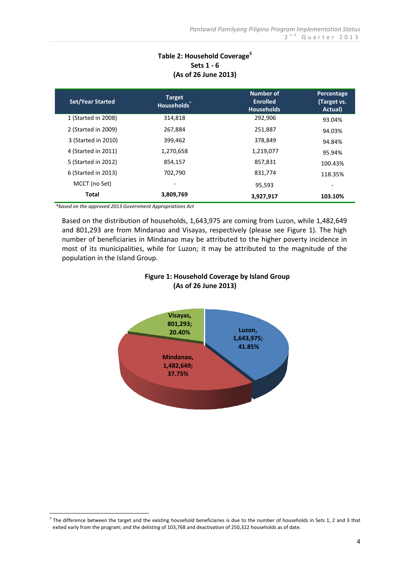## **Table 2: Household Coverage<sup>5</sup> Sets 1 - 6 (As of 26 June 2013)**

| <b>Set/Year Started</b> | <b>Target</b><br>Households <sup>®</sup> | Number of<br><b>Enrolled</b><br><b>Households</b> | Percentage<br>(Target vs.<br>Actual) |
|-------------------------|------------------------------------------|---------------------------------------------------|--------------------------------------|
| 1 (Started in 2008)     | 314,818                                  | 292,906                                           | 93.04%                               |
| 2 (Started in 2009)     | 267,884                                  | 251,887                                           | 94.03%                               |
| 3 (Started in 2010)     | 399,462                                  | 378,849                                           | 94.84%                               |
| 4 (Started in 2011)     | 1,270,658                                | 1,219,077                                         | 95.94%                               |
| 5 (Started in 2012)     | 854,157                                  | 857,831                                           | 100.43%                              |
| 6 (Started in 2013)     | 702,790                                  | 831.774                                           | 118.35%                              |
| MCCT (no Set)           |                                          | 95,593                                            |                                      |
| Total                   | 3,809,769                                | 3,927,917                                         | 103.10%                              |

*\*based on the approved 2013 Government Appropriations Act*

<u>.</u>

Based on the distribution of households, 1,643,975 are coming from Luzon, while 1,482,649 and 801,293 are from Mindanao and Visayas, respectively (please see Figure 1). The high number of beneficiaries in Mindanao may be attributed to the higher poverty incidence in most of its municipalities, while for Luzon; it may be attributed to the magnitude of the population in the Island Group.



## **Figure 1: Household Coverage by Island Group (As of 26 June 2013)**

 $5$  The difference between the target and the existing household beneficiaries is due to the number of households in Sets 1, 2 and 3 that exited early from the program; and the delisting of 103,768 and deactivation of 250,322 households as of date.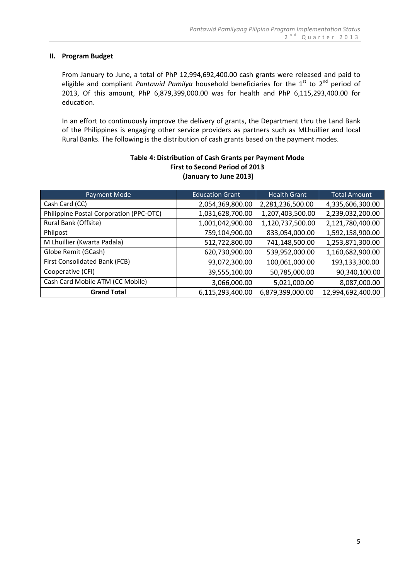#### **II. Program Budget**

From January to June, a total of PhP 12,994,692,400.00 cash grants were released and paid to eligible and compliant *Pantawid Pamilya* household beneficiaries for the 1<sup>st</sup> to 2<sup>nd</sup> period of 2013, Of this amount, PhP 6,879,399,000.00 was for health and PhP 6,115,293,400.00 for education.

In an effort to continuously improve the delivery of grants, the Department thru the Land Bank of the Philippines is engaging other service providers as partners such as MLhuillier and local Rural Banks. The following is the distribution of cash grants based on the payment modes.

| Payment Mode                            | <b>Education Grant</b> | <b>Health Grant</b> | <b>Total Amount</b> |
|-----------------------------------------|------------------------|---------------------|---------------------|
| Cash Card (CC)                          | 2,054,369,800.00       | 2,281,236,500.00    | 4,335,606,300.00    |
| Philippine Postal Corporation (PPC-OTC) | 1,031,628,700.00       | 1,207,403,500.00    | 2,239,032,200.00    |
| Rural Bank (Offsite)                    | 1,001,042,900.00       | 1,120,737,500.00    | 2,121,780,400.00    |
| Philpost                                | 759,104,900.00         | 833,054,000.00      | 1,592,158,900.00    |
| M Lhuillier (Kwarta Padala)             | 512,722,800.00         | 741,148,500.00      | 1,253,871,300.00    |
| Globe Remit (GCash)                     | 620,730,900.00         | 539,952,000.00      | 1,160,682,900.00    |
| First Consolidated Bank (FCB)           | 93,072,300.00          | 100,061,000.00      | 193,133,300.00      |
| Cooperative (CFI)                       | 39,555,100.00          | 50,785,000.00       | 90,340,100.00       |
| Cash Card Mobile ATM (CC Mobile)        | 3,066,000.00           | 5,021,000.00        | 8,087,000.00        |
| <b>Grand Total</b>                      | 6,115,293,400.00       | 6,879,399,000.00    | 12,994,692,400.00   |

## **Table 4: Distribution of Cash Grants per Payment Mode First to Second Period of 2013 (January to June 2013)**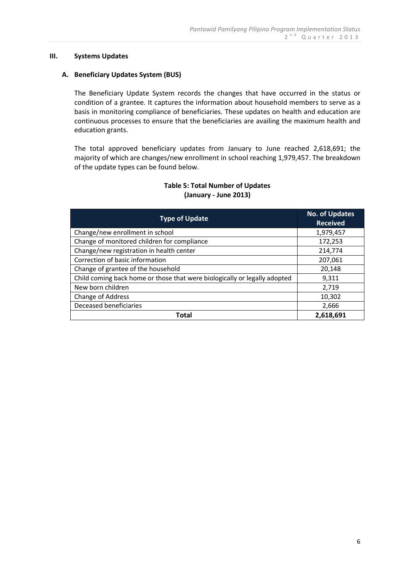#### **III. Systems Updates**

#### **A. Beneficiary Updates System (BUS)**

The Beneficiary Update System records the changes that have occurred in the status or condition of a grantee. It captures the information about household members to serve as a basis in monitoring compliance of beneficiaries. These updates on health and education are continuous processes to ensure that the beneficiaries are availing the maximum health and education grants.

The total approved beneficiary updates from January to June reached 2,618,691; the majority of which are changes/new enrollment in school reaching 1,979,457. The breakdown of the update types can be found below.

| <b>Type of Update</b>                                                     | <b>No. of Updates</b><br><b>Received</b> |
|---------------------------------------------------------------------------|------------------------------------------|
| Change/new enrollment in school                                           | 1,979,457                                |
| Change of monitored children for compliance                               | 172,253                                  |
| Change/new registration in health center                                  | 214,774                                  |
| Correction of basic information                                           | 207,061                                  |
| Change of grantee of the household                                        | 20,148                                   |
| Child coming back home or those that were biologically or legally adopted | 9,311                                    |
| New born children                                                         | 2,719                                    |
| Change of Address                                                         | 10,302                                   |
| Deceased beneficiaries                                                    | 2,666                                    |
| Total                                                                     | 2,618,691                                |

### **Table 5: Total Number of Updates (January - June 2013)**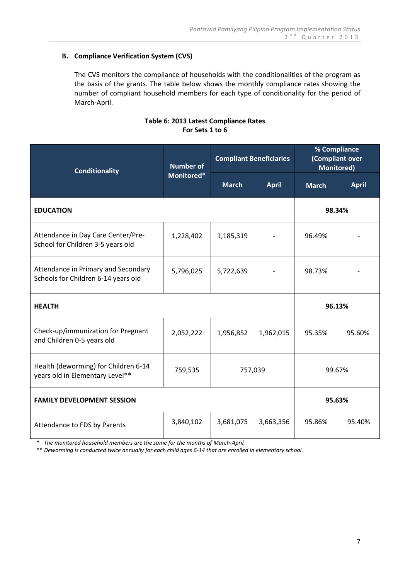## **B. Compliance Verification System (CVS)**

The CVS monitors the compliance of households with the conditionalities of the program as the basis of the grants. The table below shows the monthly compliance rates showing the number of compliant household members for each type of conditionality for the period of March-April.

#### **Table 6: 2013 Latest Compliance Rates For Sets 1 to 6**

| <b>Conditionality</b>                                                      | <b>Number of</b> |              | <b>Compliant Beneficiaries</b> | % Compliance<br>(Compliant over<br><b>Monitored)</b> |              |
|----------------------------------------------------------------------------|------------------|--------------|--------------------------------|------------------------------------------------------|--------------|
|                                                                            | Monitored*       | <b>March</b> | <b>April</b>                   | <b>March</b>                                         | <b>April</b> |
| <b>EDUCATION</b>                                                           |                  |              |                                | 98.34%                                               |              |
| Attendance in Day Care Center/Pre-<br>School for Children 3-5 years old    | 1,228,402        | 1,185,319    |                                | 96.49%                                               |              |
| Attendance in Primary and Secondary<br>Schools for Children 6-14 years old | 5,796,025        | 5,722,639    |                                | 98.73%                                               |              |
| <b>HEALTH</b>                                                              |                  |              |                                | 96.13%                                               |              |
| Check-up/immunization for Pregnant<br>and Children 0-5 years old           | 2,052,222        | 1,956,852    | 1,962,015                      | 95.35%                                               | 95.60%       |
| Health (deworming) for Children 6-14<br>years old in Elementary Level**    | 759,535          | 757,039      |                                | 99.67%                                               |              |
| <b>FAMILY DEVELOPMENT SESSION</b>                                          |                  |              |                                | 95.63%                                               |              |
| Attendance to FDS by Parents                                               | 3,840,102        | 3,681,075    | 3,663,356                      | 95.86%                                               | 95.40%       |

 **\*** *The monitored household members are the same for the months of March-April.*

 **\*\*** *Deworming is conducted twice annually for each child ages 6-14 that are enrolled in elementary school.*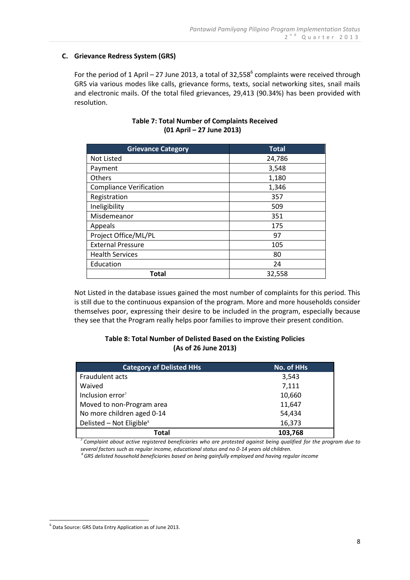## **C. Grievance Redress System (GRS)**

For the period of 1 April – 27 June 2013, a total of 32,558 $^6$  complaints were received through GRS via various modes like calls, grievance forms, texts, social networking sites, snail mails and electronic mails. Of the total filed grievances, 29,413 (90.34%) has been provided with resolution.

| <b>Grievance Category</b>      | <b>Total</b> |
|--------------------------------|--------------|
| <b>Not Listed</b>              | 24,786       |
| Payment                        | 3,548        |
| <b>Others</b>                  | 1,180        |
| <b>Compliance Verification</b> | 1,346        |
| Registration                   | 357          |
| Ineligibility                  | 509          |
| Misdemeanor                    | 351          |
| Appeals                        | 175          |
| Project Office/ML/PL           | 97           |
| <b>External Pressure</b>       | 105          |
| <b>Health Services</b>         | 80           |
| Education                      | 24           |
| Total                          | 32,558       |

## **Table 7: Total Number of Complaints Received (01 April – 27 June 2013)**

Not Listed in the database issues gained the most number of complaints for this period. This is still due to the continuous expansion of the program. More and more households consider themselves poor, expressing their desire to be included in the program, especially because they see that the Program really helps poor families to improve their present condition.

## **Table 8: Total Number of Delisted Based on the Existing Policies (As of 26 June 2013)**

| <b>Category of Delisted HHs</b>      | No. of HHs |
|--------------------------------------|------------|
| Fraudulent acts                      | 3,543      |
| Waived                               | 7,111      |
| Inclusion error <sup>7</sup>         | 10,660     |
| Moved to non-Program area            | 11,647     |
| No more children aged 0-14           | 54,434     |
| Delisted - Not Eligible <sup>8</sup> | 16,373     |
| Total                                | 103,768    |

*<sup>7</sup>Complaint about active registered beneficiaries who are protested against being qualified for the program due to several factors such as regular income, educational status and no 0-14 years old children.*

*<sup>8</sup>GRS delisted household beneficiaries based on being gainfully employed and having regular income*

<u>.</u>

<sup>6</sup> Data Source: GRS Data Entry Application as of June 2013.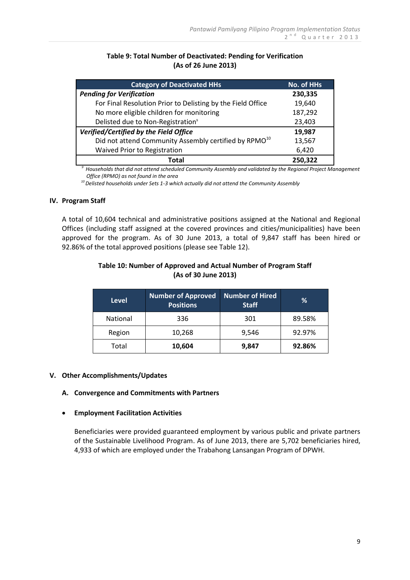## **Table 9: Total Number of Deactivated: Pending for Verification (As of 26 June 2013)**

| <b>Category of Deactivated HHs</b>                                | <b>No. of HHs</b> |
|-------------------------------------------------------------------|-------------------|
| <b>Pending for Verification</b>                                   | 230,335           |
| For Final Resolution Prior to Delisting by the Field Office       | 19,640            |
| No more eligible children for monitoring                          | 187,292           |
| Delisted due to Non-Registration <sup>9</sup>                     | 23,403            |
| Verified/Certified by the Field Office                            | 19,987            |
| Did not attend Community Assembly certified by RPMO <sup>10</sup> | 13,567            |
| Waived Prior to Registration                                      | 6,420             |
| Total                                                             | 250,322           |

*<sup>9</sup>Households that did not attend scheduled Community Assembly and validated by the Regional Project Management Office (RPMO) as not found in the area*

 *<sup>10</sup>Delisted households under Sets 1-3 which actually did not attend the Community Assembly*

#### **IV. Program Staff**

A total of 10,604 technical and administrative positions assigned at the National and Regional Offices (including staff assigned at the covered provinces and cities/municipalities) have been approved for the program. As of 30 June 2013, a total of 9,847 staff has been hired or 92.86% of the total approved positions (please see Table 12).

## **Table 10: Number of Approved and Actual Number of Program Staff (As of 30 June 2013)**

| <b>Level</b>    | <b>Number of Approved</b><br><b>Positions</b> | Number of Hired<br><b>Staff</b> | ℅      |
|-----------------|-----------------------------------------------|---------------------------------|--------|
| <b>National</b> | 336                                           | 301                             | 89.58% |
| Region          | 10,268                                        | 9,546                           | 92.97% |
| Total           | 10,604                                        | 9,847                           | 92.86% |

#### **V. Other Accomplishments/Updates**

#### **A. Convergence and Commitments with Partners**

#### **Employment Facilitation Activities**

Beneficiaries were provided guaranteed employment by various public and private partners of the Sustainable Livelihood Program. As of June 2013, there are 5,702 beneficiaries hired, 4,933 of which are employed under the Trabahong Lansangan Program of DPWH.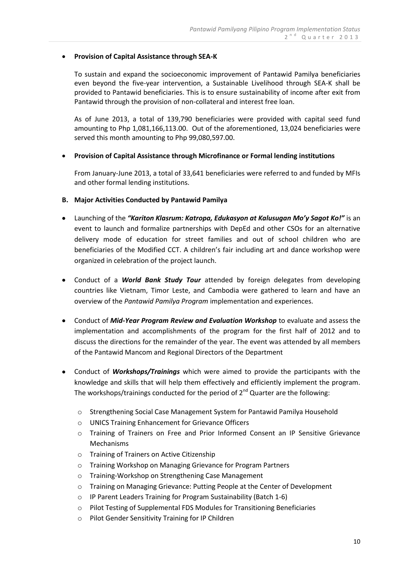#### **Provision of Capital Assistance through SEA-K**

To sustain and expand the socioeconomic improvement of Pantawid Pamilya beneficiaries even beyond the five-year intervention, a Sustainable Livelihood through SEA-K shall be provided to Pantawid beneficiaries. This is to ensure sustainability of income after exit from Pantawid through the provision of non-collateral and interest free loan.

As of June 2013, a total of 139,790 beneficiaries were provided with capital seed fund amounting to Php 1,081,166,113.00. Out of the aforementioned, 13,024 beneficiaries were served this month amounting to Php 99,080,597.00.

### **Provision of Capital Assistance through Microfinance or Formal lending institutions**

From January-June 2013, a total of 33,641 beneficiaries were referred to and funded by MFIs and other formal lending institutions.

### **B. Major Activities Conducted by Pantawid Pamilya**

- Launching of the *"Kariton Klasrum: Katropa, Edukasyon at Kalusugan Mo'y Sagot Ko!"* is an event to launch and formalize partnerships with DepEd and other CSOs for an alternative delivery mode of education for street families and out of school children who are beneficiaries of the Modified CCT. A children's fair including art and dance workshop were organized in celebration of the project launch.
- Conduct of a *World Bank Study Tour* attended by foreign delegates from developing countries like Vietnam, Timor Leste, and Cambodia were gathered to learn and have an overview of the *Pantawid Pamilya Program* implementation and experiences.
- Conduct of *Mid-Year Program Review and Evaluation Workshop* to evaluate and assess the implementation and accomplishments of the program for the first half of 2012 and to discuss the directions for the remainder of the year. The event was attended by all members of the Pantawid Mancom and Regional Directors of the Department
- Conduct of *Workshops/Trainings* which were aimed to provide the participants with the knowledge and skills that will help them effectively and efficiently implement the program. The workshops/trainings conducted for the period of  $2^{nd}$  Quarter are the following:
	- o Strengthening Social Case Management System for Pantawid Pamilya Household
	- o UNICS Training Enhancement for Grievance Officers
	- o Training of Trainers on Free and Prior Informed Consent an IP Sensitive Grievance Mechanisms
	- o Training of Trainers on Active Citizenship
	- o Training Workshop on Managing Grievance for Program Partners
	- o Training-Workshop on Strengthening Case Management
	- o Training on Managing Grievance: Putting People at the Center of Development
	- o IP Parent Leaders Training for Program Sustainability (Batch 1-6)
	- o Pilot Testing of Supplemental FDS Modules for Transitioning Beneficiaries
	- o Pilot Gender Sensitivity Training for IP Children